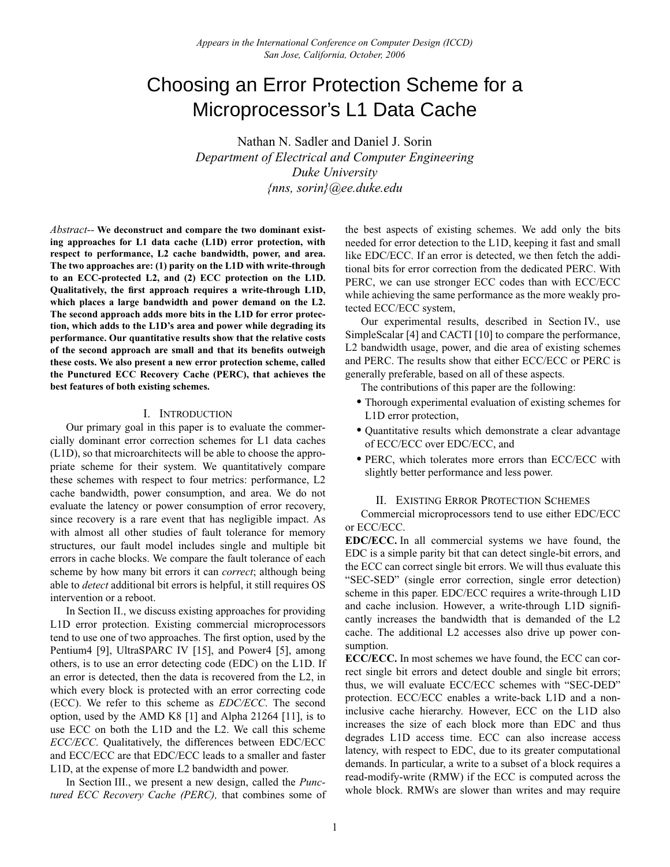# Choosing an Error Protection Scheme for a Microprocessor's L1 Data Cache

Nathan N. Sadler and Daniel J. Sorin *Department of Electrical and Computer Engineering Duke University {nns, sorin}@ee.duke.edu*

*Abstract--* **We deconstruct and compare the two dominant existing approaches for L1 data cache (L1D) error protection, with respect to performance, L2 cache bandwidth, power, and area. The two approaches are: (1) parity on the L1D with write-through to an ECC-protected L2, and (2) ECC protection on the L1D. Qualitatively, the first approach requires a write-through L1D, which places a large bandwidth and power demand on the L2. The second approach adds more bits in the L1D for error protection, which adds to the L1D's area and power while degrading its performance. Our quantitative results show that the relative costs of the second approach are small and that its benefits outweigh these costs. We also present a new error protection scheme, called the Punctured ECC Recovery Cache (PERC), that achieves the best features of both existing schemes.**

# I. INTRODUCTION

Our primary goal in this paper is to evaluate the commercially dominant error correction schemes for L1 data caches (L1D), so that microarchitects will be able to choose the appropriate scheme for their system. We quantitatively compare these schemes with respect to four metrics: performance, L2 cache bandwidth, power consumption, and area. We do not evaluate the latency or power consumption of error recovery, since recovery is a rare event that has negligible impact. As with almost all other studies of fault tolerance for memory structures, our fault model includes single and multiple bit errors in cache blocks. We compare the fault tolerance of each scheme by how many bit errors it can *correct*; although being able to *detect* additional bit errors is helpful, it still requires OS intervention or a reboot.

In [Section II.,](#page-0-0) we discuss existing approaches for providing L1D error protection. Existing commercial microprocessors tend to use one of two approaches. The first option, used by the Pentium4 [9], UltraSPARC IV [15], and Power4 [5], among others, is to use an error detecting code (EDC) on the L1D. If an error is detected, then the data is recovered from the L2, in which every block is protected with an error correcting code (ECC). We refer to this scheme as *EDC/ECC*. The second option, used by the AMD K8 [1] and Alpha 21264 [11], is to use ECC on both the L1D and the L2. We call this scheme *ECC/ECC*. Qualitatively, the differences between EDC/ECC and ECC/ECC are that EDC/ECC leads to a smaller and faster L1D, at the expense of more L2 bandwidth and power.

In [Section III.](#page-1-0), we present a new design, called the *Punctured ECC Recovery Cache (PERC),* that combines some of the best aspects of existing schemes. We add only the bits needed for error detection to the L1D, keeping it fast and small like EDC/ECC. If an error is detected, we then fetch the additional bits for error correction from the dedicated PERC. With PERC, we can use stronger ECC codes than with ECC/ECC while achieving the same performance as the more weakly protected ECC/ECC system,

Our experimental results, described in [Section IV.,](#page-2-0) use SimpleScalar [4] and CACTI [10] to compare the performance, L2 bandwidth usage, power, and die area of existing schemes and PERC. The results show that either ECC/ECC or PERC is generally preferable, based on all of these aspects.

The contributions of this paper are the following:

- **•** Thorough experimental evaluation of existing schemes for L1D error protection,
- **•** Quantitative results which demonstrate a clear advantage of ECC/ECC over EDC/ECC, and
- **•**PERC, which tolerates more errors than ECC/ECC with slightly better performance and less power.

# II. EXISTING ERROR PROTECTION SCHEMES

<span id="page-0-0"></span>Commercial microprocessors tend to use either EDC/ECC or ECC/ECC.

**EDC/ECC.** In all commercial systems we have found, the EDC is a simple parity bit that can detect single-bit errors, and the ECC can correct single bit errors. We will thus evaluate this "SEC-SED" (single error correction, single error detection) scheme in this paper. EDC/ECC requires a write-through L1D and cache inclusion. However, a write-through L1D significantly increases the bandwidth that is demanded of the L2 cache. The additional L2 accesses also drive up power consumption.

**ECC/ECC.** In most schemes we have found, the ECC can correct single bit errors and detect double and single bit errors; thus, we will evaluate ECC/ECC schemes with "SEC-DED" protection. ECC/ECC enables a write-back L1D and a noninclusive cache hierarchy. However, ECC on the L1D also increases the size of each block more than EDC and thus degrades L1D access time. ECC can also increase access latency, with respect to EDC, due to its greater computational demands. In particular, a write to a subset of a block requires a read-modify-write (RMW) if the ECC is computed across the whole block. RMWs are slower than writes and may require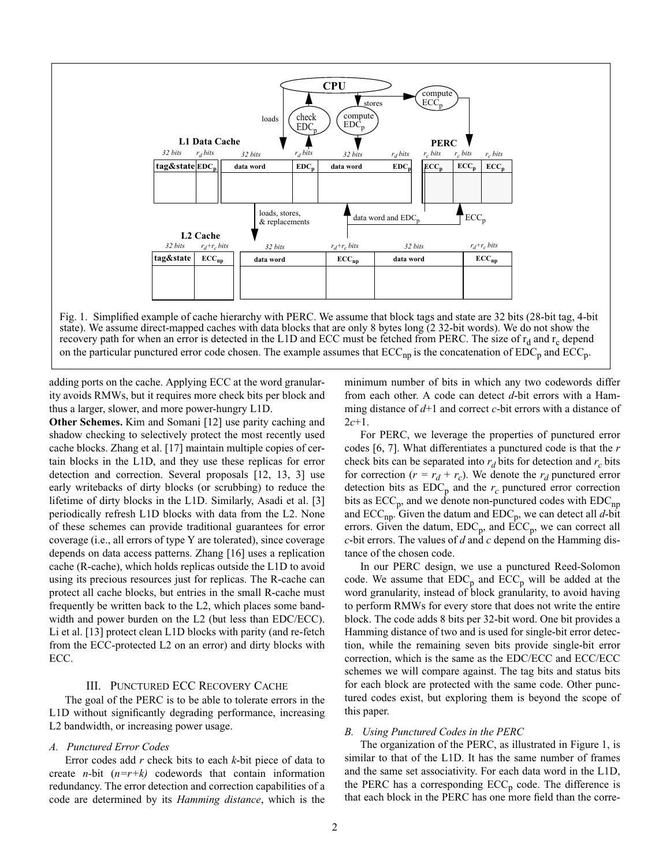

<span id="page-1-1"></span>on the particular punctured error code chosen. The example assumes that  $ECC_{np}$  is the concatenation of  $EDC_p$  and  $ECC_p$ .

adding ports on the cache. Applying ECC at the word granularity avoids RMWs, but it requires more check bits per block and thus a larger, slower, and more power-hungry L1D.

**Other Schemes.** Kim and Somani [12] use parity caching and shadow checking to selectively protect the most recently used cache blocks. Zhang et al. [17] maintain multiple copies of certain blocks in the L1D, and they use these replicas for error detection and correction. Several proposals [12, 13, 3] use early writebacks of dirty blocks (or scrubbing) to reduce the lifetime of dirty blocks in the L1D. Similarly, Asadi et al. [3] periodically refresh L1D blocks with data from the L2. None of these schemes can provide traditional guarantees for error coverage (i.e., all errors of type Y are tolerated), since coverage depends on data access patterns. Zhang [16] uses a replication cache (R-cache), which holds replicas outside the L1D to avoid using its precious resources just for replicas. The R-cache can protect all cache blocks, but entries in the small R-cache must frequently be written back to the L2, which places some bandwidth and power burden on the L2 (but less than EDC/ECC). Li et al. [13] protect clean L1D blocks with parity (and re-fetch from the ECC-protected L2 on an error) and dirty blocks with ECC.

# III. PUNCTURED ECC RECOVERY CACHE

<span id="page-1-0"></span>The goal of the PERC is to be able to tolerate errors in the L1D without significantly degrading performance, increasing L2 bandwidth, or increasing power usage.

# *A. Punctured Error Codes*

Error codes add *r* check bits to each *k*-bit piece of data to create *n-*bit (*n=r+k)* codewords that contain information redundancy. The error detection and correction capabilities of a code are determined by its *Hamming distance*, which is the minimum number of bits in which any two codewords differ from each other. A code can detect *d*-bit errors with a Hamming distance of *d*+1 and correct *c*-bit errors with a distance of 2*c*+1.

For PERC, we leverage the properties of punctured error codes [6, 7]. What differentiates a punctured code is that the *r* check bits can be separated into  $r_d$  bits for detection and  $r_c$  bits for correction ( $r = r_d + r_c$ ). We denote the  $r_d$  punctured error detection bits as  $EDC_p$  and the  $r_c$  punctured error correction bits as  $ECC_p$ , and we denote non-punctured codes with  $EDC_{np}$ and  $\text{ECC}_{\text{np}}$ . Given the datum and  $\text{EDC}_{\text{p}}$ , we can detect all *d*-bit errors. Given the datum,  $EDC_p$ , and  $\text{ECC}_p$ , we can correct all *c*-bit errors. The values of *d* and *c* depend on the Hamming distance of the chosen code.

In our PERC design, we use a punctured Reed-Solomon code. We assume that  $EDC_p$  and  $ECC_p$  will be added at the word granularity, instead of block granularity, to avoid having to perform RMWs for every store that does not write the entire block. The code adds 8 bits per 32-bit word. One bit provides a Hamming distance of two and is used for single-bit error detection, while the remaining seven bits provide single-bit error correction, which is the same as the EDC/ECC and ECC/ECC schemes we will compare against. The tag bits and status bits for each block are protected with the same code. Other punctured codes exist, but exploring them is beyond the scope of this paper.

#### *B. Using Punctured Codes in the PERC*

The organization of the PERC, as illustrated in [Figure 1](#page-1-1), is similar to that of the L1D. It has the same number of frames and the same set associativity. For each data word in the L1D, the PERC has a corresponding  $ECC_p$  code. The difference is that each block in the PERC has one more field than the corre-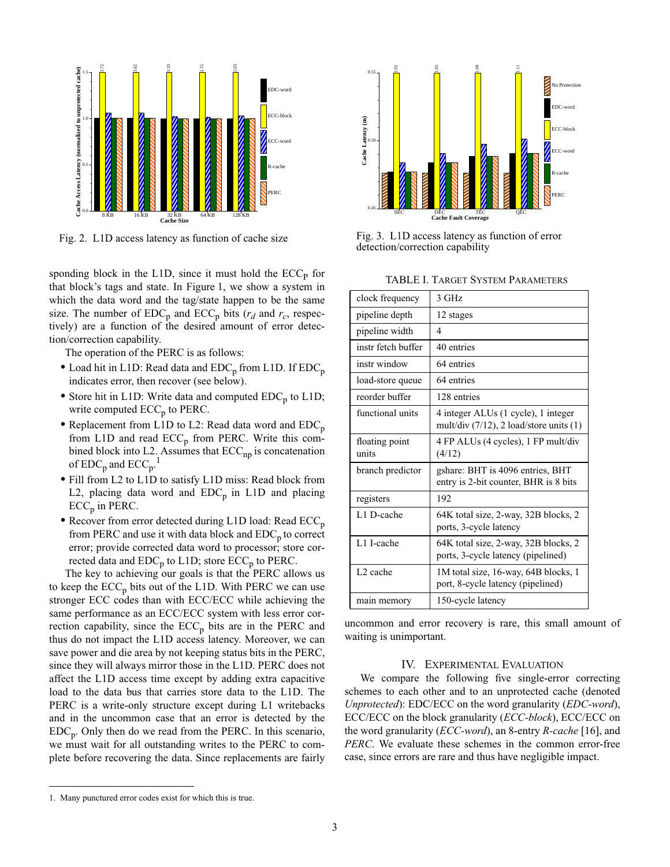

sponding block in the L1D, since it must hold the  $ECC<sub>P</sub>$  for that block's tags and state. In [Figure 1,](#page-1-1) we show a system in which the data word and the tag/state happen to be the same size. The number of  $EDC<sub>p</sub>$  and  $ECC<sub>p</sub>$  bits ( $r<sub>d</sub>$  and  $r<sub>c</sub>$ , respectively) are a function of the desired amount of error detection/correction capability.

The operation of the PERC is as follows:

- Load hit in L1D: Read data and EDC<sub>p</sub> from L1D. If EDC<sub>p</sub> indicates error, then recover (see below).
- Store hit in L1D: Write data and computed EDC<sub>p</sub> to L1D; write computed  $ECC_p$  to PERC.
- Replacement from L1D to L2: Read data word and EDC<sub>p</sub> from L1D and read  $ECC_p$  from PERC. Write this combined block into L2. Assumes that  $ECC_{np}$  is concatenation of  $\mathrm{EDC}_\mathrm{p}$  and  $\mathrm{ECC}_\mathrm{p}$ .<sup>1</sup>
- **•**Fill from L2 to L1D to satisfy L1D miss: Read block from L2, placing data word and  $EDC_p$  in L1D and placing  $ECC_p$  in PERC.
- Recover from error detected during L1D load: Read ECC<sub>p</sub> from PERC and use it with data block and  $EDC<sub>p</sub>$  to correct error; provide corrected data word to processor; store corrected data and  $EDC<sub>p</sub>$  to  $L1D$ ; store  $ECC<sub>p</sub>$  to PERC.

The key to achieving our goals is that the PERC allows us to keep the  $ECC_p$  bits out of the L1D. With PERC we can use stronger ECC codes than with ECC/ECC while achieving the same performance as an ECC/ECC system with less error correction capability, since the  $ECC_p$  bits are in the PERC and thus do not impact the L1D access latency. Moreover, we can save power and die area by not keeping status bits in the PERC, since they will always mirror those in the L1D. PERC does not affect the L1D access time except by adding extra capacitive load to the data bus that carries store data to the L1D. The PERC is a write-only structure except during L1 writebacks and in the uncommon case that an error is detected by the  $EDC_p$ . Only then do we read from the PERC. In this scenario, we must wait for all outstanding writes to the PERC to complete before recovering the data. Since replacements are fairly



<span id="page-2-2"></span>Fig. 2. L1D access latency as function of cache size Fig. 3. L1D access latency as function of error detection/correction capability

<span id="page-2-3"></span>

<span id="page-2-1"></span>

| clock frequency         | 3 GHz                                                                               |
|-------------------------|-------------------------------------------------------------------------------------|
| pipeline depth          | 12 stages                                                                           |
| pipeline width          | 4                                                                                   |
| instr fetch buffer      | 40 entries                                                                          |
| instr window            | 64 entries                                                                          |
| load-store queue        | 64 entries                                                                          |
| reorder buffer          | 128 entries                                                                         |
| functional units        | 4 integer ALUs (1 cycle), 1 integer<br>mult/div $(7/12)$ , 2 load/store units $(1)$ |
| floating point<br>units | 4 FP ALUs (4 cycles), 1 FP mult/div<br>(4/12)                                       |
| branch predictor        | gshare: BHT is 4096 entries, BHT<br>entry is 2-bit counter, BHR is 8 bits           |
| registers               | 192                                                                                 |
| L1 D-cache              | 64K total size, 2-way, 32B blocks, 2<br>ports, 3-cycle latency                      |
| L1 I-cache              | 64K total size, 2-way, 32B blocks, 2<br>ports, 3-cycle latency (pipelined)          |
| L <sub>2</sub> cache    | 1M total size, 16-way, 64B blocks, 1<br>port, 8-cycle latency (pipelined)           |
| main memory             | 150-cycle latency                                                                   |

uncommon and error recovery is rare, this small amount of waiting is unimportant.

# IV. EXPERIMENTAL EVALUATION

<span id="page-2-0"></span>We compare the following five single-error correcting schemes to each other and to an unprotected cache (denoted *Unprotected*): EDC/ECC on the word granularity (*EDC-word*), ECC/ECC on the block granularity (*ECC-block*), ECC/ECC on the word granularity (*ECC-word*), an 8-entry *R-cache* [16], and *PERC*. We evaluate these schemes in the common error-free case, since errors are rare and thus have negligible impact.

<sup>1.</sup> Many punctured error codes exist for which this is true.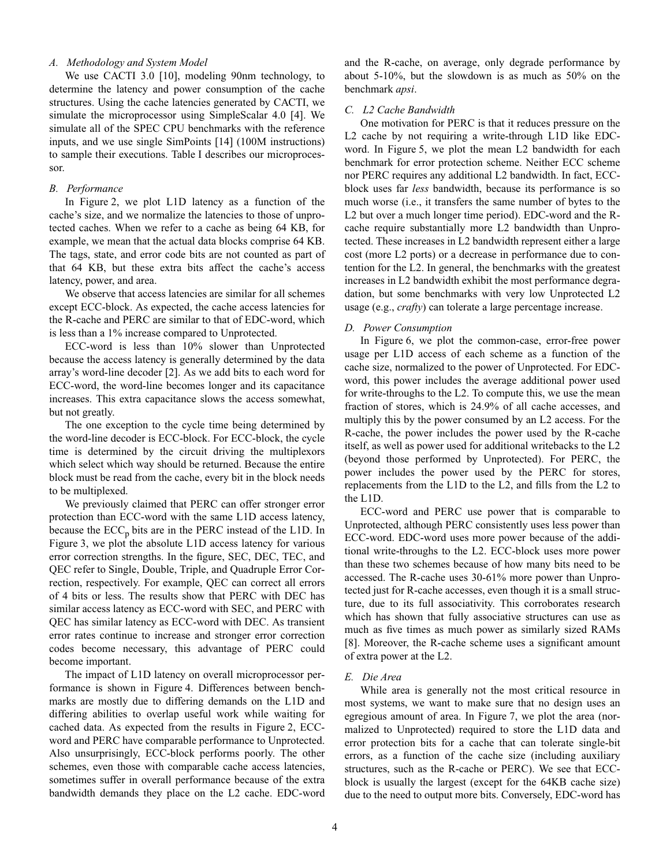#### *A. Methodology and System Model*

We use CACTI 3.0 [10], modeling 90nm technology, to determine the latency and power consumption of the cache structures. Using the cache latencies generated by CACTI, we simulate the microprocessor using SimpleScalar 4.0 [4]. We simulate all of the SPEC CPU benchmarks with the reference inputs, and we use single SimPoints [14] (100M instructions) to sample their executions. [Table I](#page-2-1) describes our microprocessor.

#### *B. Performance*

In [Figure 2,](#page-2-2) we plot L1D latency as a function of the cache's size, and we normalize the latencies to those of unprotected caches. When we refer to a cache as being 64 KB, for example, we mean that the actual data blocks comprise 64 KB. The tags, state, and error code bits are not counted as part of that 64 KB, but these extra bits affect the cache's access latency, power, and area.

We observe that access latencies are similar for all schemes except ECC-block. As expected, the cache access latencies for the R-cache and PERC are similar to that of EDC-word, which is less than a 1% increase compared to Unprotected.

ECC-word is less than 10% slower than Unprotected because the access latency is generally determined by the data array's word-line decoder [2]. As we add bits to each word for ECC-word, the word-line becomes longer and its capacitance increases. This extra capacitance slows the access somewhat, but not greatly.

The one exception to the cycle time being determined by the word-line decoder is ECC-block. For ECC-block, the cycle time is determined by the circuit driving the multiplexors which select which way should be returned. Because the entire block must be read from the cache, every bit in the block needs to be multiplexed.

We previously claimed that PERC can offer stronger error protection than ECC-word with the same L1D access latency, because the  $ECC_p$  bits are in the PERC instead of the L1D. In [Figure 3,](#page-2-3) we plot the absolute L1D access latency for various error correction strengths. In the figure, SEC, DEC, TEC, and QEC refer to Single, Double, Triple, and Quadruple Error Correction, respectively. For example, QEC can correct all errors of 4 bits or less. The results show that PERC with DEC has similar access latency as ECC-word with SEC, and PERC with QEC has similar latency as ECC-word with DEC. As transient error rates continue to increase and stronger error correction codes become necessary, this advantage of PERC could become important.

The impact of L1D latency on overall microprocessor performance is shown in [Figure 4](#page-4-0). Differences between benchmarks are mostly due to differing demands on the L1D and differing abilities to overlap useful work while waiting for cached data. As expected from the results in [Figure 2,](#page-2-2) ECCword and PERC have comparable performance to Unprotected. Also unsurprisingly, ECC-block performs poorly. The other schemes, even those with comparable cache access latencies, sometimes suffer in overall performance because of the extra bandwidth demands they place on the L2 cache. EDC-word and the R-cache, on average, only degrade performance by about 5-10%, but the slowdown is as much as 50% on the benchmark *apsi*.

#### *C. L2 Cache Bandwidth*

One motivation for PERC is that it reduces pressure on the L2 cache by not requiring a write-through L1D like EDCword. In [Figure 5,](#page-5-0) we plot the mean L2 bandwidth for each benchmark for error protection scheme. Neither ECC scheme nor PERC requires any additional L2 bandwidth. In fact, ECCblock uses far *less* bandwidth, because its performance is so much worse (i.e., it transfers the same number of bytes to the L2 but over a much longer time period). EDC-word and the Rcache require substantially more L2 bandwidth than Unprotected. These increases in L2 bandwidth represent either a large cost (more L2 ports) or a decrease in performance due to contention for the L2. In general, the benchmarks with the greatest increases in L2 bandwidth exhibit the most performance degradation, but some benchmarks with very low Unprotected L2 usage (e.g., *crafty*) can tolerate a large percentage increase.

#### *D. Power Consumption*

In [Figure 6](#page-6-0), we plot the common-case, error-free power usage per L1D access of each scheme as a function of the cache size, normalized to the power of Unprotected. For EDCword, this power includes the average additional power used for write-throughs to the L2. To compute this, we use the mean fraction of stores, which is 24.9% of all cache accesses, and multiply this by the power consumed by an L2 access. For the R-cache, the power includes the power used by the R-cache itself, as well as power used for additional writebacks to the L2 (beyond those performed by Unprotected). For PERC, the power includes the power used by the PERC for stores, replacements from the L1D to the L2, and fills from the L2 to the L1D.

ECC-word and PERC use power that is comparable to Unprotected, although PERC consistently uses less power than ECC-word. EDC-word uses more power because of the additional write-throughs to the L2. ECC-block uses more power than these two schemes because of how many bits need to be accessed. The R-cache uses 30-61% more power than Unprotected just for R-cache accesses, even though it is a small structure, due to its full associativity. This corroborates research which has shown that fully associative structures can use as much as five times as much power as similarly sized RAMs [8]. Moreover, the R-cache scheme uses a significant amount of extra power at the L2.

#### *E. Die Area*

While area is generally not the most critical resource in most systems, we want to make sure that no design uses an egregious amount of area. In [Figure 7,](#page-6-1) we plot the area (normalized to Unprotected) required to store the L1D data and error protection bits for a cache that can tolerate single-bit errors, as a function of the cache size (including auxiliary structures, such as the R-cache or PERC). We see that ECCblock is usually the largest (except for the 64KB cache size) due to the need to output more bits. Conversely, EDC-word has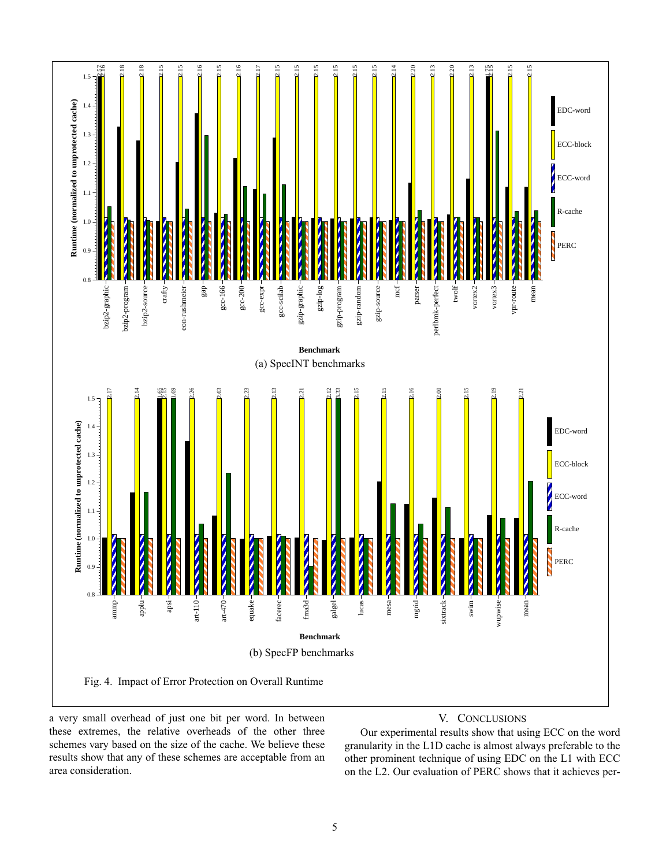

<span id="page-4-0"></span>a very small overhead of just one bit per word. In between these extremes, the relative overheads of the other three schemes vary based on the size of the cache. We believe these results show that any of these schemes are acceptable from an area consideration.

# V. CONCLUSIONS

Our experimental results show that using ECC on the word granularity in the L1D cache is almost always preferable to the other prominent technique of using EDC on the L1 with ECC on the L2. Our evaluation of PERC shows that it achieves per-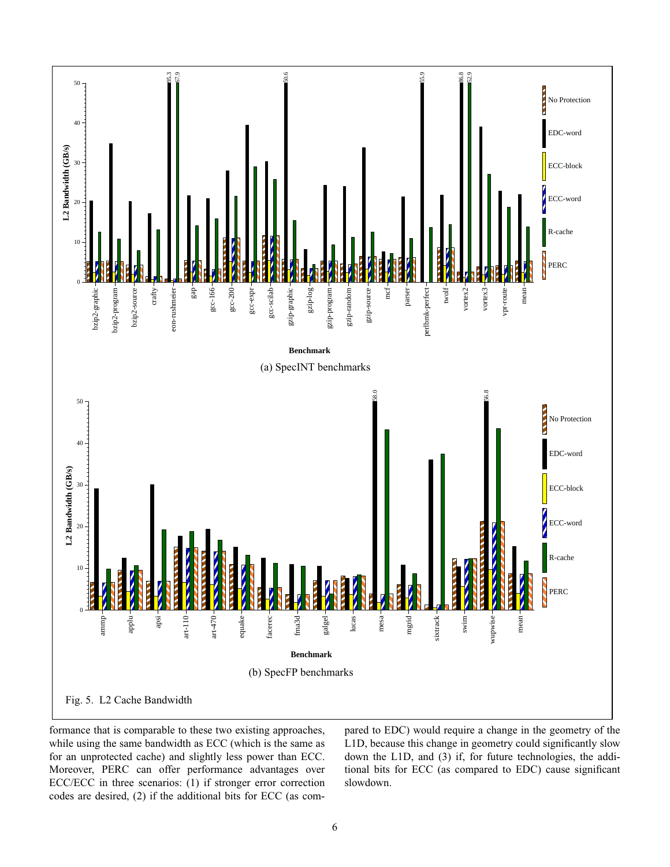

<span id="page-5-0"></span>formance that is comparable to these two existing approaches, while using the same bandwidth as ECC (which is the same as for an unprotected cache) and slightly less power than ECC. Moreover, PERC can offer performance advantages over ECC/ECC in three scenarios: (1) if stronger error correction codes are desired, (2) if the additional bits for ECC (as compared to EDC) would require a change in the geometry of the L1D, because this change in geometry could significantly slow down the L1D, and (3) if, for future technologies, the additional bits for ECC (as compared to EDC) cause significant slowdown.